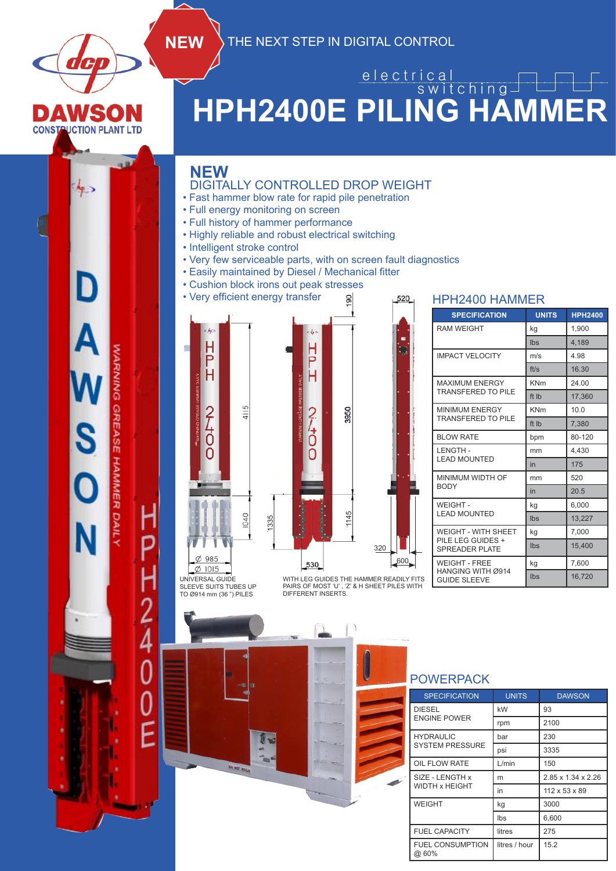

e l e c t r i c a l

### **AWSO CONSTRUCTION PLANT LTD**

 $A_{\rm P}$ 

D

S

# **HPH2400E PILING HAMMER** switching

#### **NEW**

UNIVERSAL GUIDE SLEEVE SUITS TUBES UP TO Ø914 mm (36 ") PILES

#### DIGITALLY CONTROLLED DROP WEIGHT

**NEW** THE NEXT STEP IN DIGITAL CONTROL

- Fast hammer blow rate for rapid pile penetration
- Full energy monitoring on screen
- Full history of hammer performance
- Highly reliable and robust electrical switching
- Intelligent stroke control
- Very few serviceable parts, with on screen fault diagnostics

90

- Easily maintained by Diesel / Mechanical fitter
- Cushion block irons out peak stresses
- Very efficient energy transfer



WEIGHT - FREE HANGING WITH Ø914 600 320

520

| <b>RAM WEIGHT</b>                                  | kg         | 1,900  |  |
|----------------------------------------------------|------------|--------|--|
|                                                    | Ibs        | 4,189  |  |
| <b>IMPACT VELOCITY</b>                             | m/s        | 4.98   |  |
|                                                    | ft/s       | 16.30  |  |
| <b>MAXIMUM ENERGY</b><br><b>TRANSFERED TO PILE</b> | <b>KNm</b> | 24.00  |  |
|                                                    | ft Ib      | 17,360 |  |
| <b>MINIMUM ENERGY</b><br><b>TRANSFERED TO PILE</b> | <b>KNm</b> | 10.0   |  |
|                                                    | ft Ib      | 7,380  |  |
| <b>BLOW RATE</b>                                   | bpm        | 80-120 |  |
| LENGTH-                                            | mm         | 4,430  |  |
| <b>LEAD MOUNTED</b>                                | in         | 175    |  |
| MINIMUM WIDTH OF                                   | mm         | 520    |  |
| <b>BODY</b>                                        | in         | 20.5   |  |
| WEIGHT-                                            | kg         | 6,000  |  |
| <b>LEAD MOUNTED</b>                                | Ibs        | 13,227 |  |
| <b>WEIGHT - WITH SHEET</b>                         | kg         | 7,000  |  |
| PILE LEG GUIDES +<br><b>SPREADER PLATE</b>         | Ibs        | 15,400 |  |

kg 7,600 Ibs 16,720

**SPECIFICATION UNITS HPH2400**

HPH2400 HAMMER

WITH LEG GUIDES THE HAMMER READILY FITS PAIRS OF MOST 'U' , 'Z' & H SHEET PILES WITH DIFFERENT INSERTS.

#### POWERPACK

GUIDE SLEEVE

|  | <b>SPECIFICATION</b>              | <b>UNITS</b>  | <b>DAWSON</b>      |
|--|-----------------------------------|---------------|--------------------|
|  | <b>DIESEL</b>                     | kW            | 93                 |
|  | <b>ENGINE POWER</b>               | rpm           | 2100               |
|  | <b>HYDRAULIC</b>                  | bar           | 230                |
|  | <b>SYSTEM PRESSURE</b>            | psi           | 3335               |
|  | OIL FLOW RATE                     | L/min         | 150                |
|  | SIZE - LENGTH x<br>WIDTH x HEIGHT | m             | 2.85 x 1.34 x 2.26 |
|  |                                   | in            | 112 x 53 x 89      |
|  | <b>WEIGHT</b>                     | kg            | 3000               |
|  |                                   | Ibs           | 6,600              |
|  | <b>FUEL CAPACITY</b>              | litres        | 275                |
|  | <b>FUEL CONSUMPTION</b><br>@ 60%  | litres / hour | 15.2               |

# *NARNING GREASE HAMMER DAILY*

2<br>4

 $\overline{0}$ 

E